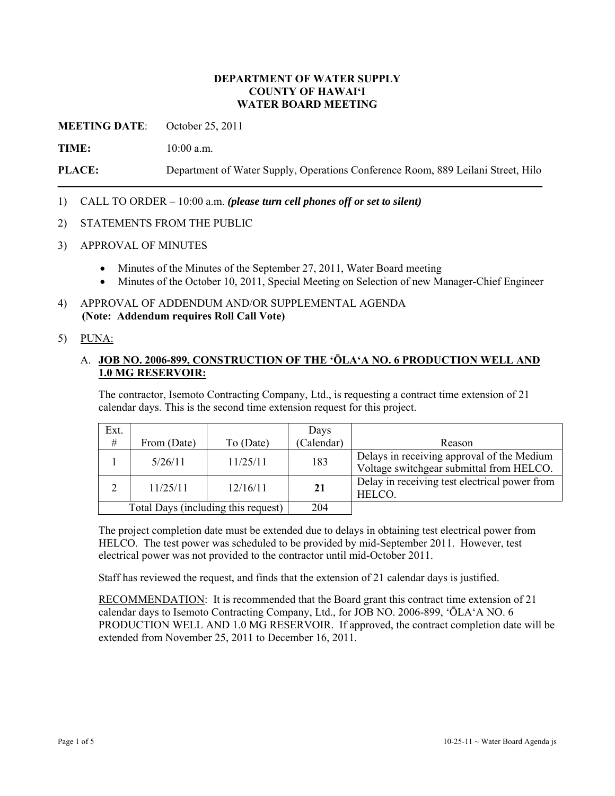#### **DEPARTMENT OF WATER SUPPLY COUNTY OF HAWAI'I WATER BOARD MEETING**

**MEETING DATE**: October 25, 2011

**TIME:** 10:00 a.m.

**PLACE:** Department of Water Supply, Operations Conference Room, 889 Leilani Street, Hilo

1) CALL TO ORDER – 10:00 a.m. *(please turn cell phones off or set to silent)*

- 2) STATEMENTS FROM THE PUBLIC
- 3) APPROVAL OF MINUTES
	- Minutes of the Minutes of the September 27, 2011, Water Board meeting
	- Minutes of the October 10, 2011, Special Meeting on Selection of new Manager-Chief Engineer
- 4) APPROVAL OF ADDENDUM AND/OR SUPPLEMENTAL AGENDA **(Note: Addendum requires Roll Call Vote)**
- 5) PUNA:

### A. **JOB NO. 2006-899, CONSTRUCTION OF THE 'ŌLA'A NO. 6 PRODUCTION WELL AND 1.0 MG RESERVOIR:**

The contractor, Isemoto Contracting Company, Ltd., is requesting a contract time extension of 21 calendar days. This is the second time extension request for this project.

| Ext.                                |             |           | Days       |                                                                                        |
|-------------------------------------|-------------|-----------|------------|----------------------------------------------------------------------------------------|
| $\#$                                | From (Date) | To (Date) | (Calendar) | Reason                                                                                 |
|                                     | 5/26/11     | 11/25/11  | 183        | Delays in receiving approval of the Medium<br>Voltage switchgear submittal from HELCO. |
| $\gamma$                            | 11/25/11    | 12/16/11  | 21         | Delay in receiving test electrical power from<br>HELCO.                                |
| Total Days (including this request) |             |           | 204        |                                                                                        |

The project completion date must be extended due to delays in obtaining test electrical power from HELCO. The test power was scheduled to be provided by mid-September 2011. However, test electrical power was not provided to the contractor until mid-October 2011.

Staff has reviewed the request, and finds that the extension of 21 calendar days is justified.

RECOMMENDATION: It is recommended that the Board grant this contract time extension of 21 calendar days to Isemoto Contracting Company, Ltd., for JOB NO. 2006-899, 'ŌLA'A NO. 6 PRODUCTION WELL AND 1.0 MG RESERVOIR. If approved, the contract completion date will be extended from November 25, 2011 to December 16, 2011.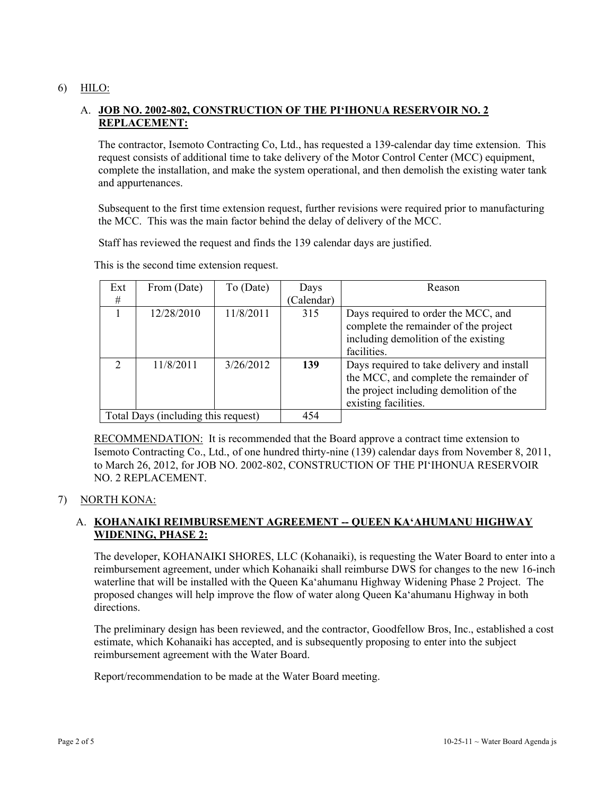## 6) HILO:

# A. **JOB NO. 2002-802, CONSTRUCTION OF THE PI'IHONUA RESERVOIR NO. 2 REPLACEMENT:**

The contractor, Isemoto Contracting Co, Ltd., has requested a 139-calendar day time extension. This request consists of additional time to take delivery of the Motor Control Center (MCC) equipment, complete the installation, and make the system operational, and then demolish the existing water tank and appurtenances.

Subsequent to the first time extension request, further revisions were required prior to manufacturing the MCC. This was the main factor behind the delay of delivery of the MCC.

Staff has reviewed the request and finds the 139 calendar days are justified.

| Ext                                 | From (Date) | To (Date) | Days       | Reason                                     |
|-------------------------------------|-------------|-----------|------------|--------------------------------------------|
| #                                   |             |           | (Calendar) |                                            |
|                                     | 12/28/2010  | 11/8/2011 | 315        | Days required to order the MCC, and        |
|                                     |             |           |            | complete the remainder of the project      |
|                                     |             |           |            | including demolition of the existing       |
|                                     |             |           |            | facilities.                                |
| $\bigcirc$                          | 11/8/2011   | 3/26/2012 | 139        | Days required to take delivery and install |
|                                     |             |           |            | the MCC, and complete the remainder of     |
|                                     |             |           |            | the project including demolition of the    |
|                                     |             |           |            | existing facilities.                       |
| Total Days (including this request) |             |           | 454        |                                            |

This is the second time extension request.

RECOMMENDATION: It is recommended that the Board approve a contract time extension to Isemoto Contracting Co., Ltd., of one hundred thirty-nine (139) calendar days from November 8, 2011, to March 26, 2012, for JOB NO. 2002-802, CONSTRUCTION OF THE PI'IHONUA RESERVOIR NO. 2 REPLACEMENT.

#### 7) NORTH KONA:

# A. **KOHANAIKI REIMBURSEMENT AGREEMENT -- QUEEN KA'AHUMANU HIGHWAY WIDENING, PHASE 2:**

The developer, KOHANAIKI SHORES, LLC (Kohanaiki), is requesting the Water Board to enter into a reimbursement agreement, under which Kohanaiki shall reimburse DWS for changes to the new 16-inch waterline that will be installed with the Queen Ka'ahumanu Highway Widening Phase 2 Project. The proposed changes will help improve the flow of water along Queen Ka'ahumanu Highway in both directions.

The preliminary design has been reviewed, and the contractor, Goodfellow Bros, Inc., established a cost estimate, which Kohanaiki has accepted, and is subsequently proposing to enter into the subject reimbursement agreement with the Water Board.

Report/recommendation to be made at the Water Board meeting.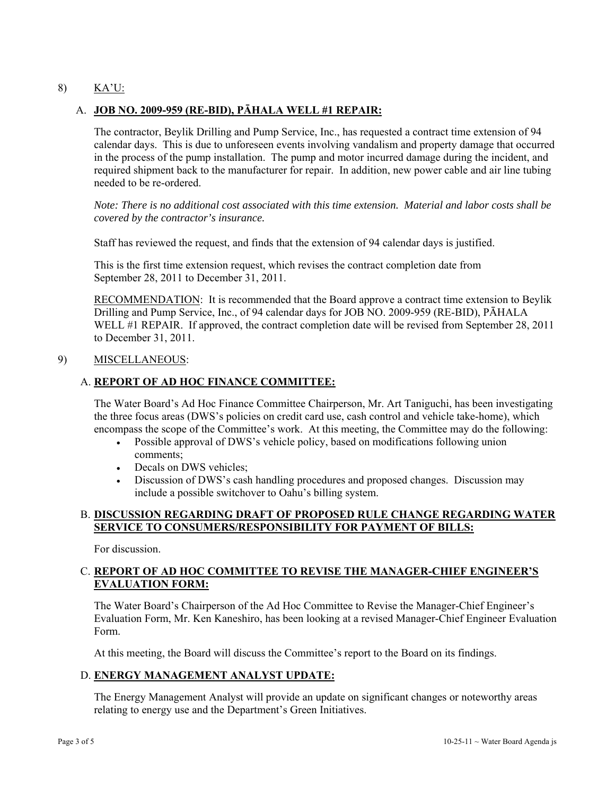## 8) KA'U:

### A. **JOB NO. 2009-959 (RE-BID), PĀHALA WELL #1 REPAIR:**

The contractor, Beylik Drilling and Pump Service, Inc., has requested a contract time extension of 94 calendar days. This is due to unforeseen events involving vandalism and property damage that occurred in the process of the pump installation. The pump and motor incurred damage during the incident, and required shipment back to the manufacturer for repair. In addition, new power cable and air line tubing needed to be re-ordered.

*Note: There is no additional cost associated with this time extension. Material and labor costs shall be covered by the contractor's insurance.* 

Staff has reviewed the request, and finds that the extension of 94 calendar days is justified.

This is the first time extension request, which revises the contract completion date from September 28, 2011 to December 31, 2011.

RECOMMENDATION: It is recommended that the Board approve a contract time extension to Beylik Drilling and Pump Service, Inc., of 94 calendar days for JOB NO. 2009-959 (RE-BID), PĀHALA WELL #1 REPAIR. If approved, the contract completion date will be revised from September 28, 2011 to December 31, 2011.

#### 9) MISCELLANEOUS:

### A. **REPORT OF AD HOC FINANCE COMMITTEE:**

The Water Board's Ad Hoc Finance Committee Chairperson, Mr. Art Taniguchi, has been investigating the three focus areas (DWS's policies on credit card use, cash control and vehicle take-home), which encompass the scope of the Committee's work. At this meeting, the Committee may do the following:

- Possible approval of DWS's vehicle policy, based on modifications following union comments;
- Decals on DWS vehicles;
- Discussion of DWS's cash handling procedures and proposed changes. Discussion may include a possible switchover to Oahu's billing system.

#### B. **DISCUSSION REGARDING DRAFT OF PROPOSED RULE CHANGE REGARDING WATER SERVICE TO CONSUMERS/RESPONSIBILITY FOR PAYMENT OF BILLS:**

For discussion.

# C. **REPORT OF AD HOC COMMITTEE TO REVISE THE MANAGER-CHIEF ENGINEER'S EVALUATION FORM:**

The Water Board's Chairperson of the Ad Hoc Committee to Revise the Manager-Chief Engineer's Evaluation Form, Mr. Ken Kaneshiro, has been looking at a revised Manager-Chief Engineer Evaluation Form.

At this meeting, the Board will discuss the Committee's report to the Board on its findings.

### D. **ENERGY MANAGEMENT ANALYST UPDATE:**

The Energy Management Analyst will provide an update on significant changes or noteworthy areas relating to energy use and the Department's Green Initiatives.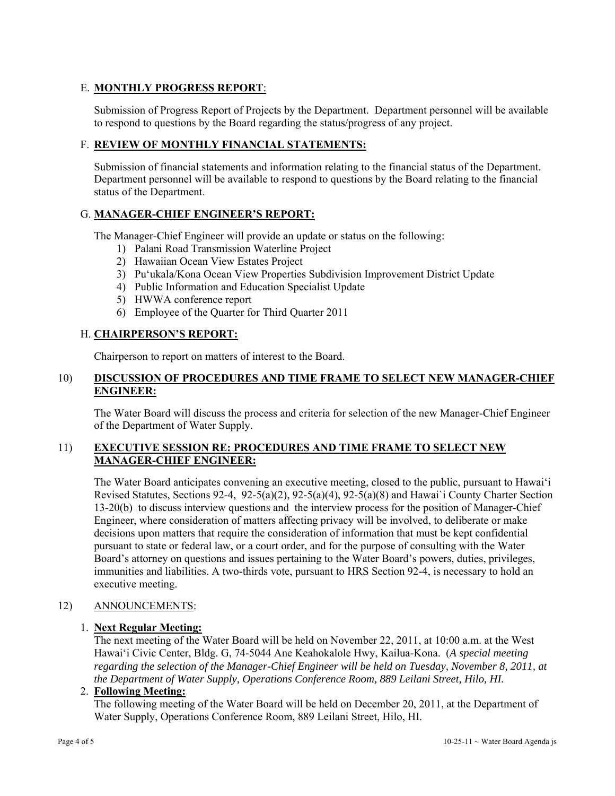# E. **MONTHLY PROGRESS REPORT**:

Submission of Progress Report of Projects by the Department. Department personnel will be available to respond to questions by the Board regarding the status/progress of any project.

### F. **REVIEW OF MONTHLY FINANCIAL STATEMENTS:**

Submission of financial statements and information relating to the financial status of the Department. Department personnel will be available to respond to questions by the Board relating to the financial status of the Department.

### G. **MANAGER-CHIEF ENGINEER'S REPORT:**

The Manager-Chief Engineer will provide an update or status on the following:

- 1) Palani Road Transmission Waterline Project
- 2) Hawaiian Ocean View Estates Project
- 3) Pu'ukala/Kona Ocean View Properties Subdivision Improvement District Update
- 4) Public Information and Education Specialist Update
- 5) HWWA conference report
- 6) Employee of the Quarter for Third Quarter 2011

### H. **CHAIRPERSON'S REPORT:**

Chairperson to report on matters of interest to the Board.

### 10) **DISCUSSION OF PROCEDURES AND TIME FRAME TO SELECT NEW MANAGER-CHIEF ENGINEER:**

The Water Board will discuss the process and criteria for selection of the new Manager-Chief Engineer of the Department of Water Supply.

### 11) **EXECUTIVE SESSION RE: PROCEDURES AND TIME FRAME TO SELECT NEW MANAGER-CHIEF ENGINEER:**

The Water Board anticipates convening an executive meeting, closed to the public, pursuant to Hawai'i Revised Statutes, Sections 92-4, 92-5(a)(2), 92-5(a)(4), 92-5(a)(8) and Hawai`i County Charter Section 13-20(b) to discuss interview questions and the interview process for the position of Manager-Chief Engineer, where consideration of matters affecting privacy will be involved, to deliberate or make decisions upon matters that require the consideration of information that must be kept confidential pursuant to state or federal law, or a court order, and for the purpose of consulting with the Water Board's attorney on questions and issues pertaining to the Water Board's powers, duties, privileges, immunities and liabilities. A two-thirds vote, pursuant to HRS Section 92-4, is necessary to hold an executive meeting.

# 12) ANNOUNCEMENTS:

#### 1. **Next Regular Meeting:**

The next meeting of the Water Board will be held on November 22, 2011, at 10:00 a.m. at the West Hawai'i Civic Center, Bldg. G, 74-5044 Ane Keahokalole Hwy, Kailua-Kona. (*A special meeting regarding the selection of the Manager-Chief Engineer will be held on Tuesday, November 8, 2011, at the Department of Water Supply, Operations Conference Room, 889 Leilani Street, Hilo, HI.*

#### 2. **Following Meeting:**

The following meeting of the Water Board will be held on December 20, 2011, at the Department of Water Supply, Operations Conference Room, 889 Leilani Street, Hilo, HI.